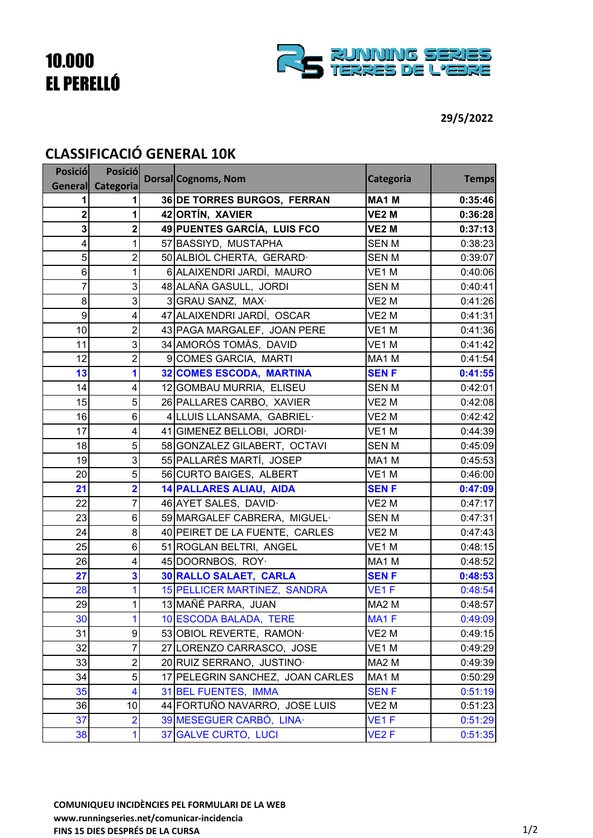## 10.000 EL PERELLÓ



## **CLASSIFICACIÓ GENERAL 10K**

| <b>Posició</b> | <b>Posició</b>          | Dorsal Cognoms, Nom              | Categoria         | <b>Temps</b> |
|----------------|-------------------------|----------------------------------|-------------------|--------------|
| <b>General</b> | Categoria               |                                  |                   |              |
|                |                         | 36 DE TORRES BURGOS, FERRAN      | MA <sub>1</sub> M | 0:35:46      |
| 2              |                         | 42 ORTÍN, XAVIER                 | <b>VE2 M</b>      | 0:36:28      |
| 3              | 2                       | 49 PUENTES GARCÍA, LUIS FCO      | <b>VE2 M</b>      | 0:37:13      |
| 4              | 1                       | 57 BASSIYD, MUSTAPHA             | <b>SENM</b>       | 0:38:23      |
| 5              | $\overline{2}$          | 50 ALBIOL CHERTA, GERARD.        | <b>SENM</b>       | 0:39:07      |
| 6              | 1                       | 6 ALAIXENDRI JARDÍ, MAURO        | VE1M              | 0:40:06      |
| $\overline{7}$ | 3                       | 48 ALAÑA GASULL, JORDI           | <b>SENM</b>       | 0:40:41      |
| 8              | 3                       | 3 GRAU SANZ, MAX·                | VE <sub>2</sub> M | 0:41:26      |
| 9              | 4                       | 47 ALAIXENDRI JARDÍ, OSCAR       | VE2 M             | 0:41:31      |
| 10             | $\overline{2}$          | 43 PAGA MARGALEF, JOAN PERE      | VE <sub>1</sub> M | 0:41:36      |
| 11             | 3                       | 34 AMORÓS TOMÀS, DAVID           | VE1M              | 0:41:42      |
| 12             | $\overline{2}$          | 9 COMES GARCIA, MARTI            | MA1 M             | 0:41:54      |
| 13             | 1                       | <b>32 COMES ESCODA, MARTINA</b>  | <b>SENF</b>       | 0:41:55      |
| 14             | 4                       | 12 GOMBAU MURRIA, ELISEU         | SEN M             | 0:42:01      |
| 15             | 5                       | 26 PALLARES CARBO, XAVIER        | VE <sub>2</sub> M | 0:42:08      |
| 16             | 6                       | 4 LLUIS LLANSAMA, GABRIEL·       | VE2 M             | 0:42:42      |
| 17             | 4                       | 41 GIMENEZ BELLOBI, JORDI.       | VE <sub>1</sub> M | 0:44:39      |
| 18             | 5                       | 58 GONZALEZ GILABERT, OCTAVI     | <b>SENM</b>       | 0:45:09      |
| 19             | 3                       | 55 PALLARÉS MARTÍ, JOSEP         | MA1 M             | 0:45:53      |
| 20             | 5                       | 56 CURTO BAIGES, ALBERT          | VE1 M             | 0:46:00      |
| 21             | $\overline{\mathbf{2}}$ | <b>14 PALLARES ALIAU, AIDA</b>   | <b>SENF</b>       | 0:47:09      |
| 22             | 7                       | 46 AYET SALES, DAVID             | VE <sub>2</sub> M | 0:47:17      |
| 23             | 6                       | 59 MARGALEF CABRERA, MIGUEL·     | <b>SENM</b>       | 0:47:31      |
| 24             | 8                       | 40 PEIRET DE LA FUENTE, CARLES   | VE <sub>2</sub> M | 0:47:43      |
| 25             | 6                       | 51 ROGLAN BELTRI, ANGEL          | VE1M              | 0:48:15      |
| 26             | 4                       | 45 DOORNBOS, ROY.                | MA1 M             | 0:48:52      |
| 27             | 3                       | <b>30 RALLO SALAET, CARLA</b>    | <b>SENF</b>       | 0:48:53      |
| 28             |                         | 15 PELLICER MARTINEZ, SANDRA     | VE <sub>1</sub> F | 0:48:54      |
| 29             | 1                       | 13 MAÑÉ PARRA, JUAN              | MA <sub>2</sub> M | 0:48:57      |
| 30             | 1                       | 10 ESCODA BALADA, TERE           | MA <sub>1</sub> F | 0:49:09      |
| 31             | 9                       | 53 OBIOL REVERTE, RAMON·         | VE <sub>2</sub> M | 0:49:15      |
| 32             | $\overline{7}$          | 27 LORENZO CARRASCO, JOSE        | VE1 M             | 0:49:29      |
| 33             | $\overline{c}$          | 20 RUIZ SERRANO, JUSTINO         | MA <sub>2</sub> M | 0:49:39      |
| 34             | 5                       | 17 PELEGRIN SANCHEZ, JOAN CARLES | MA1 M             | 0:50:29      |
| 35             | 4                       | 31 BEL FUENTES, IMMA             | <b>SENF</b>       | 0:51:19      |
| 36             | 10                      | 44 FORTUÑO NAVARRO, JOSE LUIS    | VE2 M             | 0:51:23      |
| 37             | $\overline{2}$          | 39 MESEGUER CARBÓ, LINA          | VE <sub>1</sub> F | 0:51:29      |
| 38             | 1                       | 37 GALVE CURTO, LUCI             | VE <sub>2</sub> F | 0:51:35      |